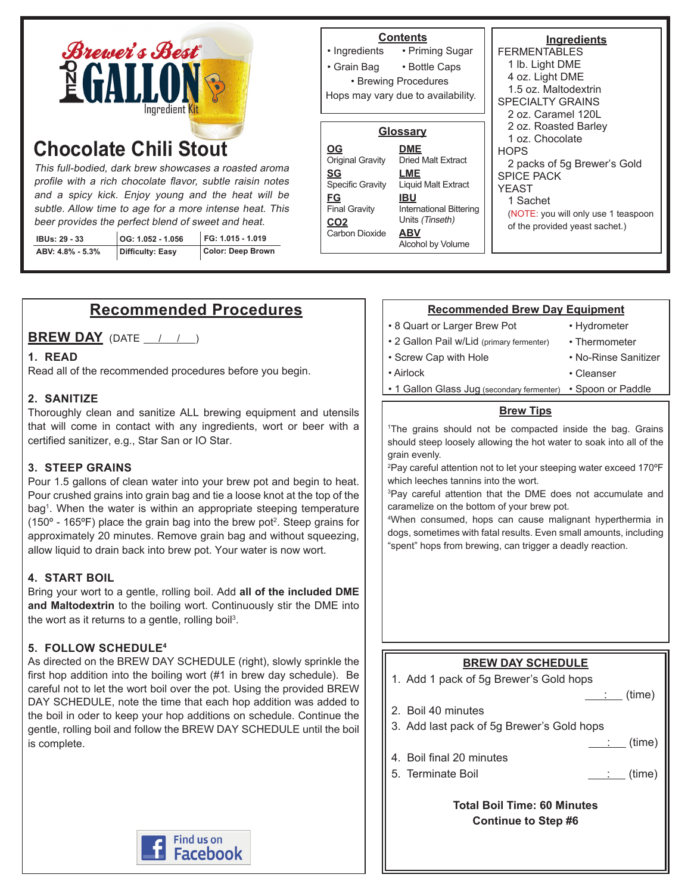

# **Chocolate Chili Stout**

This full-bodied, dark brew showcases a roasted aroma profile with a rich chocolate flavor, subtle raisin notes and a spicy kick. Enjoy young and the heat will be subtle. Allow time to age for a more intense heat. This beer provides the perfect blend of sweet and heat.

| <b>IBUs: 29 - 33</b> | OG: 1.052 - 1.056 | $FG: 1.015 - 1.019$ | I Carbon Dioxide |
|----------------------|-------------------|---------------------|------------------|
| ABV: 4.8% - 5.3%     | Difficulty: Easy  | Color: Deep Brown   |                  |

**Ingredients FERMENTABLES** 1 lb. Light DME 4 oz. Light DME 1.5 oz. Maltodextrin SPECIALTY GRAINS 2 oz. Caramel 120L 2 oz. Roasted Barley 1 oz. Chocolate **HOPS** 2 packs of 5g Brewer's Gold SPICE PACK YEAST 1 Sachet (NOTE: you will only use 1 teaspoon of the provided yeast sachet.) **Contents** • Priming Sugar • Bottle Caps • Ingredients • Grain Bag • Brewing Procedures **Glossary DME** Dried Malt Extract **LME** Liquid Malt Extract **IBU** International Bittering Units (Tinseth) **ABV** Alcohol by Volume **OG** Original Gravity **SG** Specific Gravity **FG** Final Gravity CO<sub>2</sub><br>Carbon Dioxide Hops may vary due to availability.

# **Recommended Procedures**

**BREW DAY** (DATE / / )

#### **1. READ**

Read all of the recommended procedures before you begin.

#### **2. SANITIZE**

Thoroughly clean and sanitize ALL brewing equipment and utensils that will come in contact with any ingredients, wort or beer with a certified sanitizer, e.g., Star San or IO Star.

#### **3. STEEP GRAINS**

Pour 1.5 gallons of clean water into your brew pot and begin to heat. Pour crushed grains into grain bag and tie a loose knot at the top of the bag<sup>1</sup> . When the water is within an appropriate steeping temperature (150 $\textdegree$  - 165 $\textdegree$ F) place the grain bag into the brew pot<sup>2</sup>. Steep grains for approximately 20 minutes. Remove grain bag and without squeezing, allow liquid to drain back into brew pot. Your water is now wort.

#### **4. START BOIL**

Bring your wort to a gentle, rolling boil. Add **all of the included DME and Maltodextrin** to the boiling wort. Continuously stir the DME into the wort as it returns to a gentle, rolling boil<sup>3</sup>.

#### **5. FOLLOW SCHEDULE4**

As directed on the BREW DAY SCHEDULE (right), slowly sprinkle the first hop addition into the boiling wort (#1 in brew day schedule). Be careful not to let the wort boil over the pot. Using the provided BREW DAY SCHEDULE, note the time that each hop addition was added to the boil in oder to keep your hop additions on schedule. Continue the gentle, rolling boil and follow the BREW DAY SCHEDULE until the boil is complete.



#### **Recommended Brew Day Equipment**

- 8 Quart or Larger Brew Pot
- 2 Gallon Pail w/Lid (primary fermenter)
- Hydrometer • Thermometer

• Airlock

• No-Rinse Sanitizer • Cleanser

• Screw Cap with Hole

• 1 Gallon Glass Jug (secondary fermenter) • Spoon or Paddle

#### **Brew Tips**

1 The grains should not be compacted inside the bag. Grains should steep loosely allowing the hot water to soak into all of the grain evenly.

2 Pay careful attention not to let your steeping water exceed 170ºF which leeches tannins into the wort.

3 Pay careful attention that the DME does not accumulate and caramelize on the bottom of your brew pot.

4 When consumed, hops can cause malignant hyperthermia in dogs, sometimes with fatal results. Even small amounts, including "spent" hops from brewing, can trigger a deadly reaction.